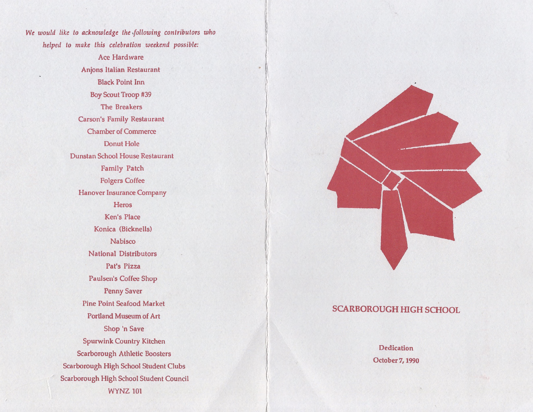*We would like to acknowledge the-following contributors who helped to make this celebration weekend possible:*

> Ace Hardware Anjons Italian Restaurant Black Point Inn Boy Scout Troop #39 The Breakers Carson's Family Restaurant Chamber of Commerce Donut Hole Dunstan School House Restaurant Family Patch Folgers Coffee Hanover Insurance Company **Heros** Ken's Place Konica (Bicknells) Nabisco National Distributors Pat's Pizza Paulsen's Coffee Shop Penny Saver Pine Point Seafood Market Portland Museum of Art Shop 'n Save Spurwink Country Kitchen Scarborough Athletic Boosters Scarborough High School Student Clubs Scarborough High School Student Council WYNZ 101



# **SCARBOROUGH HIGH SCHOOL**

Dedication October 7,1990